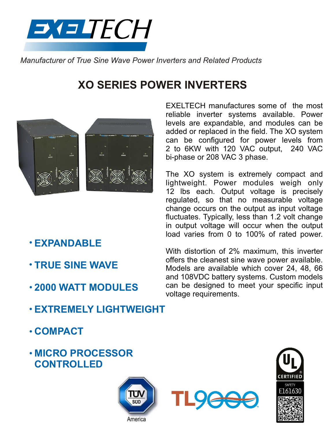

*Manufacturer of True Sine Wave Power Inverters and Related Products*

# **XO SERIES POWER INVERTERS**



EXELTECH manufactures some of the most reliable inverter systems available. Power levels are expandable, and modules can be added or replaced in the field. The XO system can be configured for power levels from 2 to 6KW with 120 VAC output, 240 VAC bi-phase or 208 VAC 3 phase.

The XO system is extremely compact and lightweight. Power modules weigh only 12 lbs each. Output voltage is precisely regulated, so that no measurable voltage change occurs on the output as input voltage fluctuates. Typically, less than 1.2 volt change in output voltage will occur when the output load varies from 0 to 100% of rated power.

- **EXPANDABLE**
- **TRUE SINE WAVE**
- **2000 WATT MODULES**

With distortion of 2% maximum, this inverter offers the cleanest sine wave power available. Models are available which cover 24, 48, 66 and 108VDC battery systems. Custom models can be designed to meet your specific input voltage requirements.

- **EXTREMELY LIGHTWEIGHT**
- **COMPACT**
- **MICRO PROCESSOR CONTROLLED**





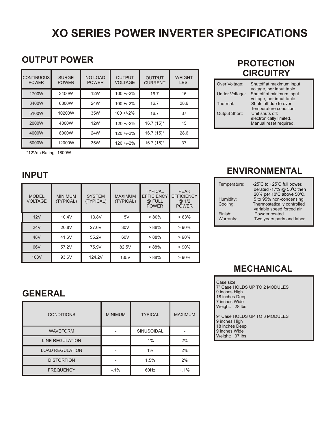# **XO SERIES POWER INVERTER SPECIFICATIONS**

#### **OUTPUT POWER**

| <b>CONTINUOUS</b><br><b>POWER</b> | <b>SURGE</b><br><b>POWER</b> | <b>NO LOAD</b><br><b>POWER</b> | <b>OUTPUT</b><br><b>VOLTAGE</b> | <b>OUTPUT</b><br><b>CURRENT</b> | <b>WEIGHT</b><br>LBS. |
|-----------------------------------|------------------------------|--------------------------------|---------------------------------|---------------------------------|-----------------------|
| 1700W                             | 3400W                        | <b>12W</b>                     | $100 + 2\%$                     | 16.7                            | 15                    |
| 3400W                             | 6800W                        | 24W                            | $100 + 2\%$                     | 16.7                            | 28.6                  |
| 5100W                             | 10200W                       | 35W                            | $100 + 2\%$                     | 16.7                            | 37                    |
| 2000W                             | 4000W                        | <b>12W</b>                     | $120 + 2%$                      | $16.7(15)^{*}$                  | 15                    |
| 4000W                             | 8000W                        | 24W                            | $120 + 2%$                      | $16.7(15)^{*}$                  | 28.6                  |
| 6000W                             | 12000W                       | 35W                            | $120 + 2%$                      | $16.7(15)^{*}$                  | 37                    |

\*12Vdc Rating- 1800W

#### **INPUT**

| <b>MODEL</b><br><b>VOLTAGE</b> | <b>MINIMUM</b><br>(TYPICAL) | <b>SYSTEM</b><br>(TYPICAL) | <b>MAXIMUM</b><br>(TYPICAL) | <b>TYPICAL</b><br><b>EFFICIENCY</b><br>@ FULL<br><b>POWER</b> | <b>PEAK</b><br><b>EFFICIENCY</b><br>@.1/2<br><b>POWER</b> |
|--------------------------------|-----------------------------|----------------------------|-----------------------------|---------------------------------------------------------------|-----------------------------------------------------------|
| 12V                            | 10.4V                       | 13.8V                      | 15V                         | $> 80\%$                                                      | > 83%                                                     |
| 24V                            | 20.8V                       | 27.6V                      | 30 <sub>V</sub>             | >88%                                                          | >90%                                                      |
| 48V                            | 41.6V                       | 55.2V                      | 60V                         | >88%                                                          | >90%                                                      |
| 66V                            | 57.2V                       | 75.9V                      | 82.5V                       | >88%                                                          | >90%                                                      |
| 108V                           | 93.6V                       | 124.2V                     | 135V                        | >88%                                                          | >90%                                                      |

#### **PROTECTION CIRCUITRY**

| Over Voltage:        | Shutoff at maximum input<br>voltage, per input table.<br>Shutoff at minimum input |  |
|----------------------|-----------------------------------------------------------------------------------|--|
| Under Voltage:       |                                                                                   |  |
|                      | voltage, per input table.                                                         |  |
| Thermal:             | Shuts off due to over                                                             |  |
|                      | temperature condition.                                                            |  |
| <b>Output Short:</b> | Unit shuts off:                                                                   |  |
|                      | electronically limited.                                                           |  |
|                      | Manual reset required.                                                            |  |

#### **ENVIRONMENTAL**

| Temperature: | -25 $^{\circ}$ C to +25 $^{\circ}$ C full power,<br>derated -17% @ 50°C then |
|--------------|------------------------------------------------------------------------------|
|              | 20% per 10°C above 50°C.                                                     |
| Humidity:    | 5 to 95% non-condensing                                                      |
| Cooling:     | Thermostatically controlled                                                  |
|              | variable speed forced air                                                    |
| Finish:      | Powder coated                                                                |
| Warranty:    | Two years parts and labor.                                                   |
|              |                                                                              |

#### **MECHANICAL**

| Case size:<br>7" Case HOLDS UP TO 2 MODULES<br>9 inches High<br>18 inches Deep<br>7 inches Wide<br>Weight: 28 lbs. |
|--------------------------------------------------------------------------------------------------------------------|
| 9" Case HOLDS UP TO 3 MODULES<br>9 inches High                                                                     |

18 inches Deep 9 inches Wide Weight: 37 lbs.

### **GENERAL**

| <b>CONDITIONS</b>      | <b>MINIMUM</b> | <b>TYPICAL</b> | <b>MAXIMUM</b> |
|------------------------|----------------|----------------|----------------|
| <b>WAVEFORM</b>        |                | SINUSOIDAL     |                |
| <b>LINE REGULATION</b> |                | $.1\%$         | 2%             |
| <b>LOAD REGULATION</b> |                | 1%             | 2%             |
| <b>DISTORTION</b>      |                | 1.5%           | 2%             |
| <b>FREQUENCY</b>       | $-1%$          | 60Hz           | $+.1\%$        |